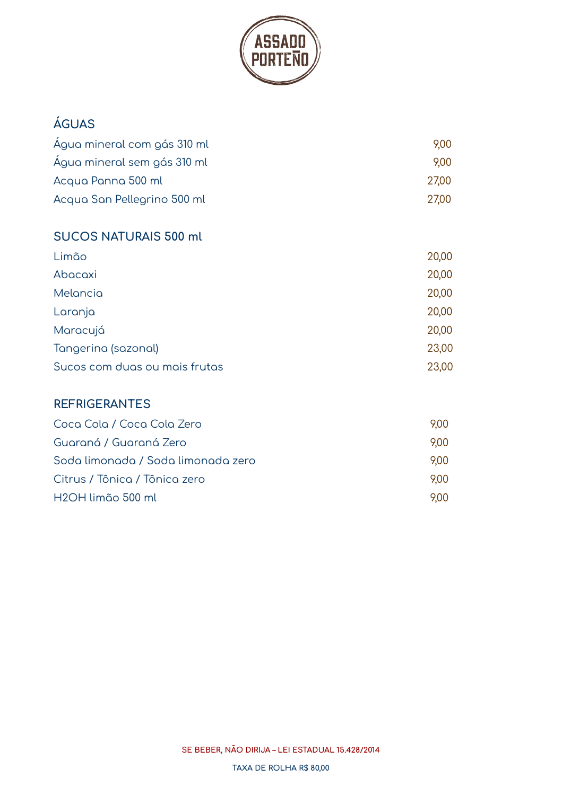

# **ÁGUAS** Água mineral com gás 310 ml 9,00 Água mineral sem gás 310 ml 9,00 Acqua Panna 500 ml 27,00 Acqua San Pellegrino 500 ml 27,00 **SUCOS NATURAIS 500 ml** Limão 20,00 Abacaxi 20,00

| <b>Melancia</b>               | 20,00 |
|-------------------------------|-------|
| Laranja                       | 20,00 |
| Maracujá                      | 20,00 |
| Tangerina (sazonal)           | 23,00 |
| Sucos com duas ou mais frutas | 23,00 |

#### **REFRIGERANTES**

| Coca Cola / Coca Cola Zero         | 9.00 |
|------------------------------------|------|
| Guaraná / Guaraná Zero             | 9.00 |
| Soda limonada / Soda limonada zero | 9.00 |
| Citrus / Tônica / Tônica zero      | 9.00 |
| H <sub>2</sub> OH limão 500 ml     | 9.00 |

**SE BEBER, NÃO DIRIJA – LEI ESTADUAL 15.428/2014**

**TAXA DE ROLHA R\$ 80,00**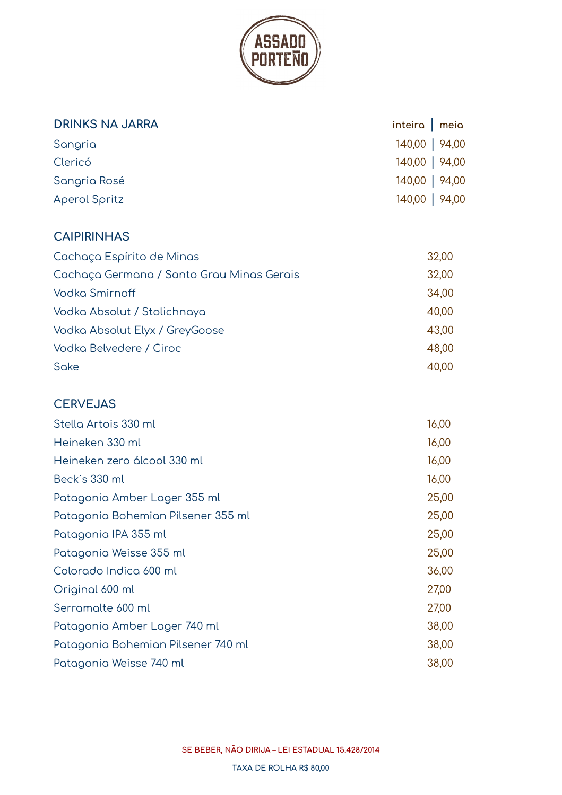

| <b>DRINKS NA JARRA</b> | inteira $\vert$ meia |  |
|------------------------|----------------------|--|
| Sangria                | 140,00   94,00       |  |
| Clericó                | 140,00   94,00       |  |
| Sangria Rosé           | 140,00   94,00       |  |
| Aperol Spritz          | 140,00   94,00       |  |

# **CAIPIRINHAS**

| Cachaça Espírito de Minas                 | 32,00 |
|-------------------------------------------|-------|
| Cachaça Germana / Santo Grau Minas Gerais | 32,00 |
| <b>Vodka Smirnoff</b>                     | 34,00 |
| Vodka Absolut / Stolichnaya               | 40,00 |
| Vodka Absolut Elyx / GreyGoose            | 43,00 |
| Vodka Belvedere / Ciroc                   | 48,00 |
| Sake                                      | 40.00 |

# **CERVEJAS**

| Stella Artois 330 ml               | 16,00 |
|------------------------------------|-------|
| Heineken 330 ml                    | 16,00 |
| Heineken zero álcool 330 ml        | 16,00 |
| Beck's 330 ml                      | 16,00 |
| Patagonia Amber Lager 355 ml       | 25,00 |
| Patagonia Bohemian Pilsener 355 ml | 25,00 |
| Patagonia IPA 355 ml               | 25,00 |
| Patagonia Weisse 355 ml            | 25,00 |
| Colorado Indica 600 ml             | 36,00 |
| Original 600 ml                    | 27,00 |
| Serramalte 600 ml                  | 27,00 |
| Patagonia Amber Lager 740 ml       | 38,00 |
| Patagonia Bohemian Pilsener 740 ml | 38,00 |
| Patagonia Weisse 740 ml            | 38,00 |

**SE BEBER, NÃO DIRIJA – LEI ESTADUAL 15.428/2014**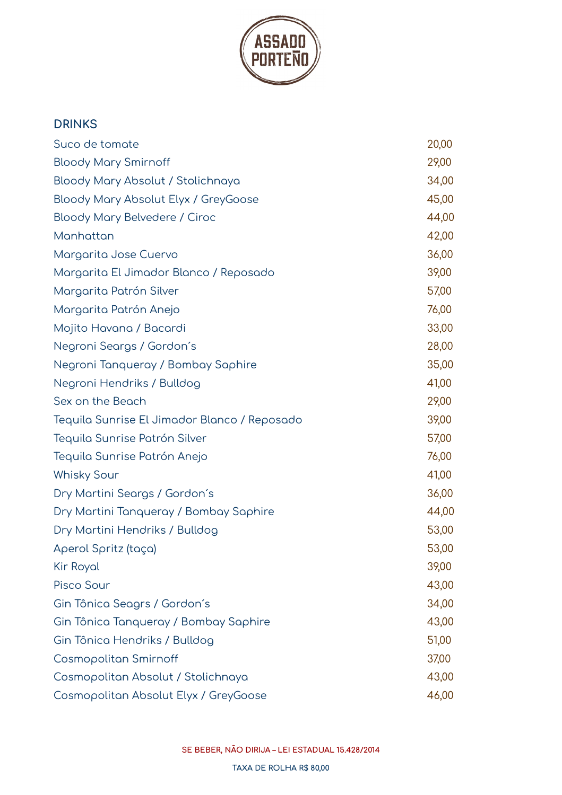

# **DRINKS** Suco de tomate 20,00 Bloody Mary Smirnoff 29,00 Bloody Mary Absolut / Stolichnaya 34,00 Bloody Mary Absolut Elyx / GreyGoose 45,00 Bloody Mary Belvedere / Ciroc 44,00 Manhattan 42,00 Margarita Jose Cuervo 36,00 Margarita El Jimador Blanco / Reposado 39,00 Margarita Patrón Silver 57,000 and 57,000 and 57,000 and 57,000 states for the states of  $\sim$ Margarita Patrón Anejo 76,00 Mojito Havana / Bacardi 33,00 Negroni Seargs / Gordon´s 28,00 Negroni Tanqueray / Bombay Saphire 35,00 Negroni Hendriks / Bulldog 41,00 Sex on the Beach 29,00 Tequila Sunrise El Jimador Blanco / Reposado 39,00 Tequila Sunrise Patrón Silver 57,000 and 57,000 and 57,000 states for the state  $57,00$ Tequila Sunrise Patrón Anejo 76,00 Whisky Sour 41,00 Dry Martini Seargs / Gordon´s 36,00 Dry Martini Tanqueray / Bombay Saphire 44,00 Dry Martini Hendriks / Bulldog 53,00 Aperol Spritz (taça) 53,00 Kir Royal 39,00 Pisco Sour 43,00 Gin Tônica Seagrs / Gordon´s 34,00 Gin Tônica Tanqueray / Bombay Saphire **1996** 13,00 Gin Tônica Hendriks / Bulldog 51,00 Cosmopolitan Smirnoff and the cosmopolitan Smirno 37,00 Cosmopolitan Absolut / Stolichnaya 43,00 Cosmopolitan Absolut Elyx / GreyGoose 46,00

**SE BEBER, NÃO DIRIJA – LEI ESTADUAL 15.428/2014**